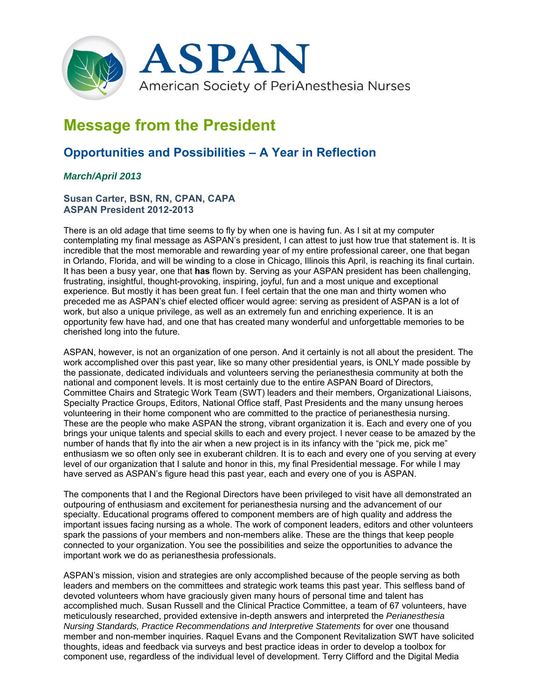

# **Message from the President**

## **Opportunities and Possibilities – A Year in Reflection**

### *March/April 2013*

#### **Susan Carter, BSN, RN, CPAN, CAPA ASPAN President 2012-2013**

There is an old adage that time seems to fly by when one is having fun. As I sit at my computer contemplating my final message as ASPAN's president, I can attest to just how true that statement is. It is incredible that the most memorable and rewarding year of my entire professional career, one that began in Orlando, Florida, and will be winding to a close in Chicago, Illinois this April, is reaching its final curtain. It has been a busy year, one that **has** flown by. Serving as your ASPAN president has been challenging, frustrating, insightful, thought-provoking, inspiring, joyful, fun and a most unique and exceptional experience. But mostly it has been great fun. I feel certain that the one man and thirty women who preceded me as ASPAN's chief elected officer would agree: serving as president of ASPAN is a lot of work, but also a unique privilege, as well as an extremely fun and enriching experience. It is an opportunity few have had, and one that has created many wonderful and unforgettable memories to be cherished long into the future.

ASPAN, however, is not an organization of one person. And it certainly is not all about the president. The work accomplished over this past year, like so many other presidential years, is ONLY made possible by the passionate, dedicated individuals and volunteers serving the perianesthesia community at both the national and component levels. It is most certainly due to the entire ASPAN Board of Directors, Committee Chairs and Strategic Work Team (SWT) leaders and their members, Organizational Liaisons, Specialty Practice Groups, Editors, National Office staff, Past Presidents and the many unsung heroes volunteering in their home component who are committed to the practice of perianesthesia nursing. These are the people who make ASPAN the strong, vibrant organization it is. Each and every one of you brings your unique talents and special skills to each and every project. I never cease to be amazed by the number of hands that fly into the air when a new project is in its infancy with the "pick me, pick me" enthusiasm we so often only see in exuberant children. It is to each and every one of you serving at every level of our organization that I salute and honor in this, my final Presidential message. For while I may have served as ASPAN's figure head this past year, each and every one of you is ASPAN.

The components that I and the Regional Directors have been privileged to visit have all demonstrated an outpouring of enthusiasm and excitement for perianesthesia nursing and the advancement of our specialty. Educational programs offered to component members are of high quality and address the important issues facing nursing as a whole. The work of component leaders, editors and other volunteers spark the passions of your members and non-members alike. These are the things that keep people connected to your organization. You see the possibilities and seize the opportunities to advance the important work we do as perianesthesia professionals.

ASPAN's mission, vision and strategies are only accomplished because of the people serving as both leaders and members on the committees and strategic work teams this past year. This selfless band of devoted volunteers whom have graciously given many hours of personal time and talent has accomplished much. Susan Russell and the Clinical Practice Committee, a team of 67 volunteers, have meticulously researched, provided extensive in-depth answers and interpreted the *Perianesthesia Nursing Standards, Practice Recommendations and Interpretive Statements* for over one thousand member and non-member inquiries. Raquel Evans and the Component Revitalization SWT have solicited thoughts, ideas and feedback via surveys and best practice ideas in order to develop a toolbox for component use, regardless of the individual level of development. Terry Clifford and the Digital Media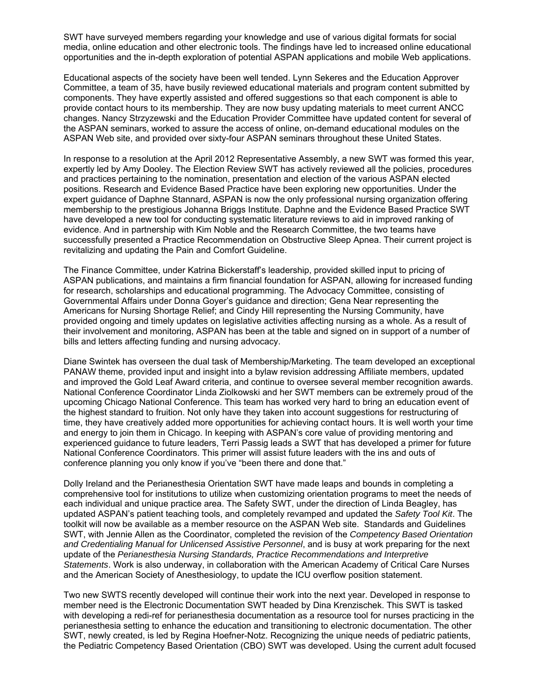SWT have surveyed members regarding your knowledge and use of various digital formats for social media, online education and other electronic tools. The findings have led to increased online educational opportunities and the in-depth exploration of potential ASPAN applications and mobile Web applications.

Educational aspects of the society have been well tended. Lynn Sekeres and the Education Approver Committee, a team of 35, have busily reviewed educational materials and program content submitted by components. They have expertly assisted and offered suggestions so that each component is able to provide contact hours to its membership. They are now busy updating materials to meet current ANCC changes. Nancy Strzyzewski and the Education Provider Committee have updated content for several of the ASPAN seminars, worked to assure the access of online, on-demand educational modules on the ASPAN Web site, and provided over sixty-four ASPAN seminars throughout these United States.

In response to a resolution at the April 2012 Representative Assembly, a new SWT was formed this year, expertly led by Amy Dooley. The Election Review SWT has actively reviewed all the policies, procedures and practices pertaining to the nomination, presentation and election of the various ASPAN elected positions. Research and Evidence Based Practice have been exploring new opportunities. Under the expert guidance of Daphne Stannard, ASPAN is now the only professional nursing organization offering membership to the prestigious Johanna Briggs Institute. Daphne and the Evidence Based Practice SWT have developed a new tool for conducting systematic literature reviews to aid in improved ranking of evidence. And in partnership with Kim Noble and the Research Committee, the two teams have successfully presented a Practice Recommendation on Obstructive Sleep Apnea. Their current project is revitalizing and updating the Pain and Comfort Guideline.

The Finance Committee, under Katrina Bickerstaff's leadership, provided skilled input to pricing of ASPAN publications, and maintains a firm financial foundation for ASPAN, allowing for increased funding for research, scholarships and educational programming. The Advocacy Committee, consisting of Governmental Affairs under Donna Goyer's guidance and direction; Gena Near representing the Americans for Nursing Shortage Relief; and Cindy Hill representing the Nursing Community, have provided ongoing and timely updates on legislative activities affecting nursing as a whole. As a result of their involvement and monitoring, ASPAN has been at the table and signed on in support of a number of bills and letters affecting funding and nursing advocacy.

Diane Swintek has overseen the dual task of Membership/Marketing. The team developed an exceptional PANAW theme, provided input and insight into a bylaw revision addressing Affiliate members, updated and improved the Gold Leaf Award criteria, and continue to oversee several member recognition awards. National Conference Coordinator Linda Ziolkowski and her SWT members can be extremely proud of the upcoming Chicago National Conference. This team has worked very hard to bring an education event of the highest standard to fruition. Not only have they taken into account suggestions for restructuring of time, they have creatively added more opportunities for achieving contact hours. It is well worth your time and energy to join them in Chicago. In keeping with ASPAN's core value of providing mentoring and experienced guidance to future leaders, Terri Passig leads a SWT that has developed a primer for future National Conference Coordinators. This primer will assist future leaders with the ins and outs of conference planning you only know if you've "been there and done that."

Dolly Ireland and the Perianesthesia Orientation SWT have made leaps and bounds in completing a comprehensive tool for institutions to utilize when customizing orientation programs to meet the needs of each individual and unique practice area. The Safety SWT, under the direction of Linda Beagley, has updated ASPAN's patient teaching tools, and completely revamped and updated the *Safety Tool Kit*. The toolkit will now be available as a member resource on the ASPAN Web site. Standards and Guidelines SWT, with Jennie Allen as the Coordinator, completed the revision of the *Competency Based Orientation and Credentialing Manual for Unlicensed Assistive Personnel*, and is busy at work preparing for the next update of the *Perianesthesia Nursing Standards, Practice Recommendations and Interpretive Statements*. Work is also underway, in collaboration with the American Academy of Critical Care Nurses and the American Society of Anesthesiology, to update the ICU overflow position statement.

Two new SWTS recently developed will continue their work into the next year. Developed in response to member need is the Electronic Documentation SWT headed by Dina Krenzischek. This SWT is tasked with developing a redi-ref for perianesthesia documentation as a resource tool for nurses practicing in the perianesthesia setting to enhance the education and transitioning to electronic documentation. The other SWT, newly created, is led by Regina Hoefner-Notz. Recognizing the unique needs of pediatric patients, the Pediatric Competency Based Orientation (CBO) SWT was developed. Using the current adult focused